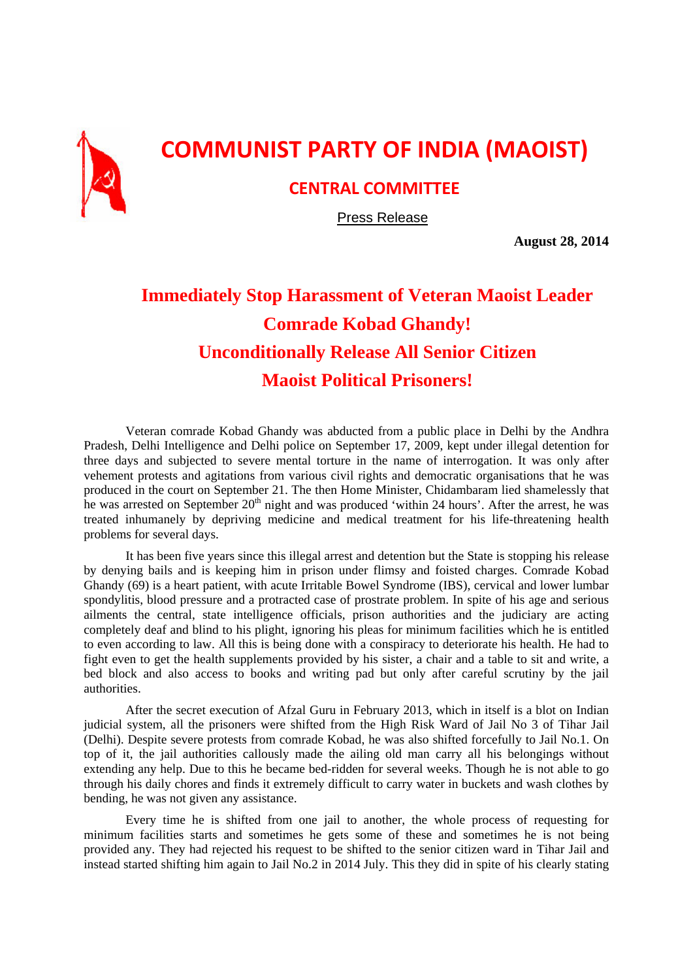## **COMMUNIST PARTY OF INDIA (MAOIST)**

## **CENTRAL COMMITTEE**

Press Release

**August 28, 2014** 

## **Immediately Stop Harassment of Veteran Maoist Leader Comrade Kobad Ghandy! Unconditionally Release All Senior Citizen Maoist Political Prisoners!**

Veteran comrade Kobad Ghandy was abducted from a public place in Delhi by the Andhra Pradesh, Delhi Intelligence and Delhi police on September 17, 2009, kept under illegal detention for three days and subjected to severe mental torture in the name of interrogation. It was only after vehement protests and agitations from various civil rights and democratic organisations that he was produced in the court on September 21. The then Home Minister, Chidambaram lied shamelessly that he was arrested on September 20<sup>th</sup> night and was produced 'within 24 hours'. After the arrest, he was treated inhumanely by depriving medicine and medical treatment for his life-threatening health problems for several days.

It has been five years since this illegal arrest and detention but the State is stopping his release by denying bails and is keeping him in prison under flimsy and foisted charges. Comrade Kobad Ghandy (69) is a heart patient, with acute Irritable Bowel Syndrome (IBS), cervical and lower lumbar spondylitis, blood pressure and a protracted case of prostrate problem. In spite of his age and serious ailments the central, state intelligence officials, prison authorities and the judiciary are acting completely deaf and blind to his plight, ignoring his pleas for minimum facilities which he is entitled to even according to law. All this is being done with a conspiracy to deteriorate his health. He had to fight even to get the health supplements provided by his sister, a chair and a table to sit and write, a bed block and also access to books and writing pad but only after careful scrutiny by the jail authorities.

After the secret execution of Afzal Guru in February 2013, which in itself is a blot on Indian judicial system, all the prisoners were shifted from the High Risk Ward of Jail No 3 of Tihar Jail (Delhi). Despite severe protests from comrade Kobad, he was also shifted forcefully to Jail No.1. On top of it, the jail authorities callously made the ailing old man carry all his belongings without extending any help. Due to this he became bed-ridden for several weeks. Though he is not able to go through his daily chores and finds it extremely difficult to carry water in buckets and wash clothes by bending, he was not given any assistance.

Every time he is shifted from one jail to another, the whole process of requesting for minimum facilities starts and sometimes he gets some of these and sometimes he is not being provided any. They had rejected his request to be shifted to the senior citizen ward in Tihar Jail and instead started shifting him again to Jail No.2 in 2014 July. This they did in spite of his clearly stating